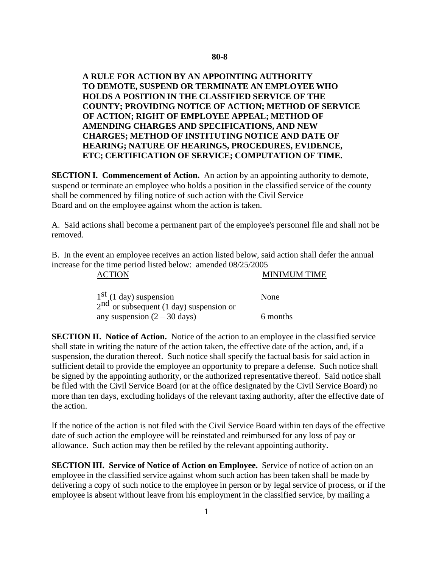## **A RULE FOR ACTION BY AN APPOINTING AUTHORITY TO DEMOTE, SUSPEND OR TERMINATE AN EMPLOYEE WHO HOLDS A POSITION IN THE CLASSIFIED SERVICE OF THE COUNTY; PROVIDING NOTICE OF ACTION; METHOD OF SERVICE OF ACTION; RIGHT OF EMPLOYEE APPEAL; METHOD OF AMENDING CHARGES AND SPECIFICATIONS, AND NEW CHARGES; METHOD OF INSTITUTING NOTICE AND DATE OF HEARING; NATURE OF HEARINGS, PROCEDURES, EVIDENCE, ETC; CERTIFICATION OF SERVICE; COMPUTATION OF TIME.**

**SECTION I. Commencement of Action.** An action by an appointing authority to demote, suspend or terminate an employee who holds a position in the classified service of the county shall be commenced by filing notice of such action with the Civil Service Board and on the employee against whom the action is taken.

A. Said actions shall become a permanent part of the employee's personnel file and shall not be removed.

B. In the event an employee receives an action listed below, said action shall defer the annual increase for the time period listed below: amended 08/25/2005

ACTION MINIMUM TIME

| $1st$ (1 day) suspension<br>$2nd$ or subsequent (1 day) suspension or | <b>None</b> |
|-----------------------------------------------------------------------|-------------|
|                                                                       |             |
| any suspension $(2 – 30 \text{ days})$                                | 6 months    |

**SECTION II. Notice of Action.** Notice of the action to an employee in the classified service shall state in writing the nature of the action taken, the effective date of the action, and, if a suspension, the duration thereof. Such notice shall specify the factual basis for said action in sufficient detail to provide the employee an opportunity to prepare a defense. Such notice shall be signed by the appointing authority, or the authorized representative thereof. Said notice shall be filed with the Civil Service Board (or at the office designated by the Civil Service Board) no more than ten days, excluding holidays of the relevant taxing authority, after the effective date of the action.

If the notice of the action is not filed with the Civil Service Board within ten days of the effective date of such action the employee will be reinstated and reimbursed for any loss of pay or allowance. Such action may then be refiled by the relevant appointing authority.

**SECTION III. Service of Notice of Action on Employee.** Service of notice of action on an employee in the classified service against whom such action has been taken shall be made by delivering a copy of such notice to the employee in person or by legal service of process, or if the employee is absent without leave from his employment in the classified service, by mailing a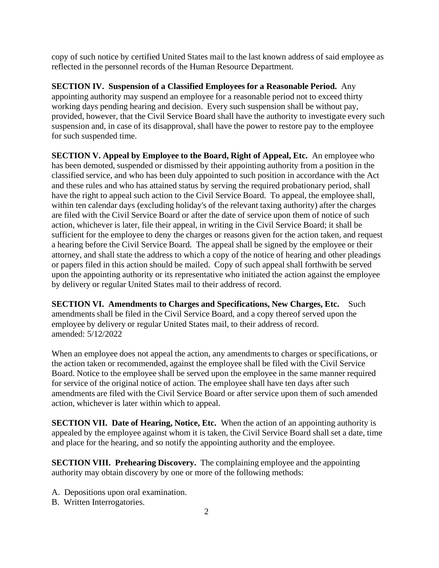copy of such notice by certified United States mail to the last known address of said employee as reflected in the personnel records of the Human Resource Department.

**SECTION IV. Suspension of a Classified Employees for a Reasonable Period.** Any appointing authority may suspend an employee for a reasonable period not to exceed thirty working days pending hearing and decision. Every such suspension shall be without pay, provided, however, that the Civil Service Board shall have the authority to investigate every such suspension and, in case of its disapproval, shall have the power to restore pay to the employee for such suspended time.

**SECTION V. Appeal by Employee to the Board, Right of Appeal, Etc.** An employee who has been demoted, suspended or dismissed by their appointing authority from a position in the classified service, and who has been duly appointed to such position in accordance with the Act and these rules and who has attained status by serving the required probationary period, shall have the right to appeal such action to the Civil Service Board. To appeal, the employee shall, within ten calendar days (excluding holiday's of the relevant taxing authority) after the charges are filed with the Civil Service Board or after the date of service upon them of notice of such action, whichever is later, file their appeal, in writing in the Civil Service Board; it shall be sufficient for the employee to deny the charges or reasons given for the action taken, and request a hearing before the Civil Service Board. The appeal shall be signed by the employee or their attorney, and shall state the address to which a copy of the notice of hearing and other pleadings or papers filed in this action should be mailed. Copy of such appeal shall forthwith be served upon the appointing authority or its representative who initiated the action against the employee by delivery or regular United States mail to their address of record.

**SECTION VI. Amendments to Charges and Specifications, New Charges, Etc.** Such amendments shall be filed in the Civil Service Board, and a copy thereof served upon the employee by delivery or regular United States mail, to their address of record. amended: 5/12/2022

When an employee does not appeal the action, any amendments to charges or specifications, or the action taken or recommended, against the employee shall be filed with the Civil Service Board. Notice to the employee shall be served upon the employee in the same manner required for service of the original notice of action. The employee shall have ten days after such amendments are filed with the Civil Service Board or after service upon them of such amended action, whichever is later within which to appeal.

**SECTION VII. Date of Hearing, Notice, Etc.** When the action of an appointing authority is appealed by the employee against whom it is taken, the Civil Service Board shall set a date, time and place for the hearing, and so notify the appointing authority and the employee.

**SECTION VIII. Prehearing Discovery.** The complaining employee and the appointing authority may obtain discovery by one or more of the following methods:

- A. Depositions upon oral examination.
- B. Written Interrogatories.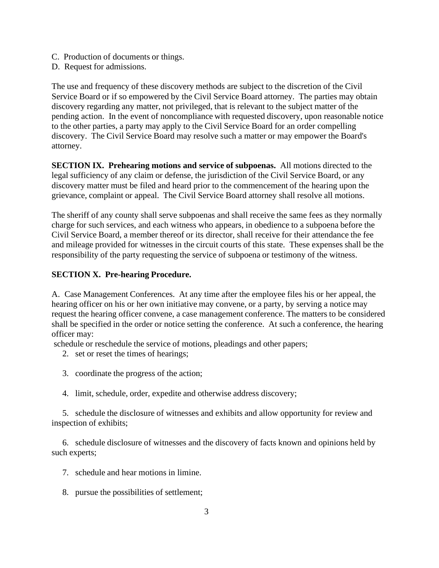- C. Production of documents or things.
- D. Request for admissions.

The use and frequency of these discovery methods are subject to the discretion of the Civil Service Board or if so empowered by the Civil Service Board attorney. The parties may obtain discovery regarding any matter, not privileged, that is relevant to the subject matter of the pending action. In the event of noncompliance with requested discovery, upon reasonable notice to the other parties, a party may apply to the Civil Service Board for an order compelling discovery. The Civil Service Board may resolve such a matter or may empower the Board's attorney.

**SECTION IX. Prehearing motions and service of subpoenas.** All motions directed to the legal sufficiency of any claim or defense, the jurisdiction of the Civil Service Board, or any discovery matter must be filed and heard prior to the commencement of the hearing upon the grievance, complaint or appeal. The Civil Service Board attorney shall resolve all motions.

The sheriff of any county shall serve subpoenas and shall receive the same fees as they normally charge for such services, and each witness who appears, in obedience to a subpoena before the Civil Service Board, a member thereof or its director, shall receive for their attendance the fee and mileage provided for witnesses in the circuit courts of this state. These expenses shall be the responsibility of the party requesting the service of subpoena or testimony of the witness.

## **SECTION X. Pre-hearing Procedure.**

A. Case Management Conferences. At any time after the employee files his or her appeal, the hearing officer on his or her own initiative may convene, or a party, by serving a notice may request the hearing officer convene, a case management conference. The matters to be considered shall be specified in the order or notice setting the conference. At such a conference, the hearing officer may:

schedule or reschedule the service of motions, pleadings and other papers;

- 2. set or reset the times of hearings;
- 3. coordinate the progress of the action;
- 4. limit, schedule, order, expedite and otherwise address discovery;

5. schedule the disclosure of witnesses and exhibits and allow opportunity for review and inspection of exhibits;

6. schedule disclosure of witnesses and the discovery of facts known and opinions held by such experts;

- 7. schedule and hear motions in limine.
- 8. pursue the possibilities of settlement;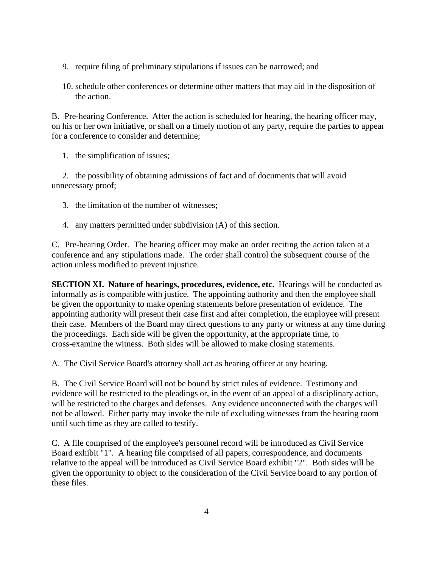- 9. require filing of preliminary stipulations if issues can be narrowed; and
- 10. schedule other conferences or determine other matters that may aid in the disposition of the action.

B. Pre-hearing Conference. After the action is scheduled for hearing, the hearing officer may, on his or her own initiative, or shall on a timely motion of any party, require the parties to appear for a conference to consider and determine;

1. the simplification of issues;

2. the possibility of obtaining admissions of fact and of documents that will avoid unnecessary proof;

- 3. the limitation of the number of witnesses;
- 4. any matters permitted under subdivision (A) of this section.

C. Pre-hearing Order. The hearing officer may make an order reciting the action taken at a conference and any stipulations made. The order shall control the subsequent course of the action unless modified to prevent injustice.

**SECTION XI. Nature of hearings, procedures, evidence, etc.** Hearings will be conducted as informally as is compatible with justice. The appointing authority and then the employee shall be given the opportunity to make opening statements before presentation of evidence. The appointing authority will present their case first and after completion, the employee will present their case. Members of the Board may direct questions to any party or witness at any time during the proceedings. Each side will be given the opportunity, at the appropriate time, to cross-examine the witness. Both sides will be allowed to make closing statements.

A. The Civil Service Board's attorney shall act as hearing officer at any hearing.

B. The Civil Service Board will not be bound by strict rules of evidence. Testimony and evidence will be restricted to the pleadings or, in the event of an appeal of a disciplinary action, will be restricted to the charges and defenses. Any evidence unconnected with the charges will not be allowed. Either party may invoke the rule of excluding witnesses from the hearing room until such time as they are called to testify.

C. A file comprised of the employee's personnel record will be introduced as Civil Service Board exhibit "1". A hearing file comprised of all papers, correspondence, and documents relative to the appeal will be introduced as Civil Service Board exhibit "2". Both sides will be given the opportunity to object to the consideration of the Civil Service board to any portion of these files.